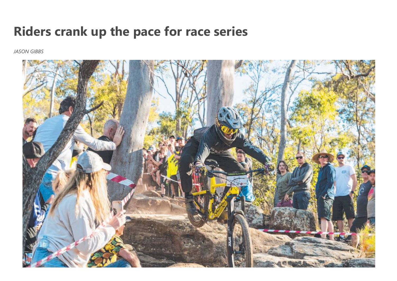## **Riders crank up the pace for race series**

*JASON GIBBS*